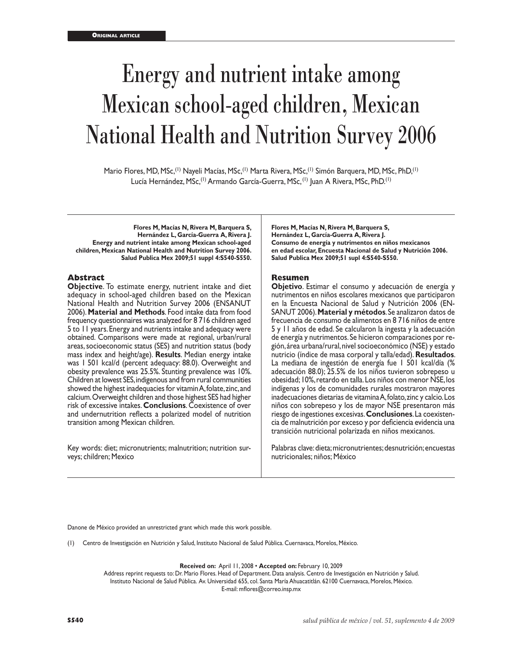# Energy and nutrient intake among Mexican school-aged children, Mexican National Health and Nutrition Survey 2006

Mario Flores, MD, MSc,<sup>(1)</sup> Nayeli Macías, MSc,<sup>(1)</sup> Marta Rivera, MSc,<sup>(1)</sup> Simón Barquera, MD, MSc, PhD,<sup>(1)</sup> Lucía Hernández, MSc,<sup>(1)</sup> Armando García-Guerra, MSc, <sup>(1)</sup> Juan A Rivera, MSc, PhD.<sup>(1)</sup>

**Flores M, Macías N, Rivera M, Barquera S, Hernández L, García-Guerra A, Rivera J. Energy and nutrient intake among Mexican school-aged children, Mexican National Health and Nutrition Survey 2006. Salud Publica Mex 2009;51 suppl 4:S540-S550.**

#### **Abstract**

**Objective**. To estimate energy, nutrient intake and diet adequacy in school-aged children based on the Mexican National Health and Nutrition Survey 2006 (ENSANUT 2006). **Material and Methods**. Food intake data from food frequency questionnaires was analyzed for 8 716 children aged 5 to 11 years. Energy and nutrients intake and adequacy were obtained. Comparisons were made at regional, urban/rural areas, socioeconomic status (SES) and nutrition status (body mass index and height/age). **Results**. Median energy intake was 1 501 kcal/d (percent adequacy: 88.0). Overweight and obesity prevalence was 25.5%. Stunting prevalence was 10%. Children at lowest SES, indigenous and from rural communities showed the highest inadequacies for vitamin A, folate, zinc, and calcium. Overweight children and those highest SES had higher risk of excessive intakes. **Conclusions**. Coexistence of over and undernutrition reflects a polarized model of nutrition transition among Mexican children.

Key words: diet; micronutrients; malnutrition; nutrition surveys; children; Mexico

**Flores M, Macías N, Rivera M, Barquera S, Hernández L, García-Guerra A, Rivera J. Consumo de energía y nutrimentos en niños mexicanos en edad escolar, Encuesta Nacional de Salud y Nutrición 2006. Salud Publica Mex 2009;51 supl 4:S540-S550.**

#### **Resumen**

**Objetivo**. Estimar el consumo y adecuación de energía y nutrimentos en niños escolares mexicanos que participaron en la Encuesta Nacional de Salud y Nutrición 2006 (EN- SANUT 2006). **Material y métodos**. Se analizaron datos de frecuencia de consumo de alimentos en 8 716 niños de entre 5 y 11 años de edad. Se calcularon la ingesta y la adecuación de energía y nutrimentos. Se hicieron comparaciones por re gión, área urbana/rural, nivel socioeconómico (NSE) y estado nutricio (índice de masa corporal y talla/edad). **Resultados**. La mediana de ingestión de energía fue 1 501 kcal/día (% adecuación 88.0); 25.5% de los niños tuvieron sobrepeso u obesidad; 10%, retardo en talla. Los niños con menor NSE, los indígenas y los de comunidades rurales mostraron mayores inadecuaciones dietarias de vitamina A, folato, zinc y calcio. Los niños con sobrepeso y los de mayor NSE presentaron más riesgo de ingestiones excesivas. **Conclusiones**. La coexistencia de malnutrición por exceso y por deficiencia evidencia una transición nutricional polarizada en niños mexicanos.

Palabras clave: dieta; micronutrientes; desnutrición; encuestas nutricionales; niños; México

Danone de México provided an unrestricted grant which made this work possible.

(1) Centro de Investigación en Nutrición y Salud, Instituto Nacional de Salud Pública. Cuernavaca, Morelos, México.

**Received on:** April 11, 2008 • **Accepted on:** February 10, 2009

Address reprint requests to: Dr. Mario Flores. Head of Department. Data analysis. Centro de Investigación en Nutrición y Salud. Instituto Nacional de Salud Pública. Av. Universidad 655, col. Santa María Ahuacatitlán. 62100 Cuernavaca, Morelos, México. E-mail: mflores@correo.insp.mx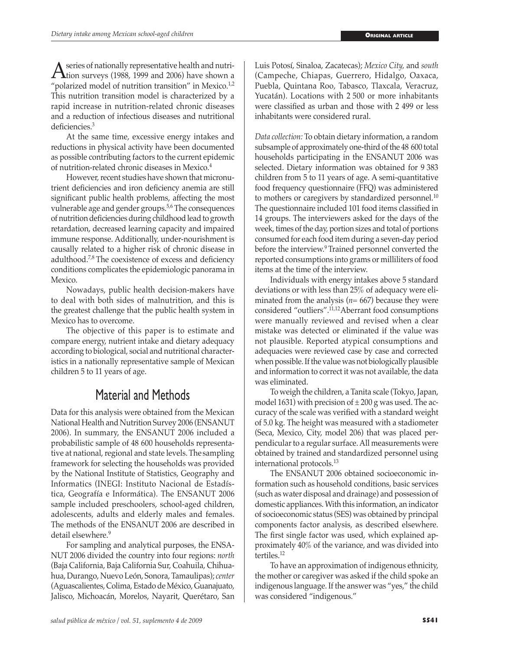A series of nationally representative health and nutri-<br>
"nolarized model of nutrition transition" in Morice 12 "polarized model of nutrition transition" in Mexico. $1,2$ This nutrition transition model is characterized by a rapid increase in nutrition-related chronic diseases and a reduction of infectious diseases and nutritional deficiencies.<sup>3</sup>

At the same time, excessive energy intakes and reductions in physical activity have been documented as possible contributing factors to the current epidemic of nutrition-related chronic diseases in Mexico.4

However, recent studies have shown that micronutrient deficiencies and iron deficiency anemia are still significant public health problems, affecting the most vulnerable age and gender groups.<sup>5,6</sup> The consequences of nutrition deficiencies during childhood lead to growth retardation, decreased learning capacity and impaired immune response. Additionally, under-nourishment is causally related to a higher risk of chronic disease in adulthood.7,8 The coexistence of excess and deficiency conditions complicates the epidemiologic panorama in Mexico.

Nowadays, public health decision-makers have to deal with both sides of malnutrition, and this is the greatest challenge that the public health system in Mexico has to overcome.

The objective of this paper is to estimate and compare energy, nutrient intake and dietary adequacy according to biological, social and nutritional characteristics in a nationally representative sample of Mexican children 5 to 11 years of age.

## Material and Methods

Data for this analysis were obtained from the Mexican National Health and Nutrition Survey 2006 (ENSANUT 2006). In summary, the ENSANUT 2006 included a probabilistic sample of 48 600 households representative at national, regional and state levels.The sampling framework for selecting the households was provided by the National Institute of Statistics, Geography and Informatics (INEGI: Instituto Nacional de Estadística, Geografía e Informática). The ENSANUT 2006 sample included preschoolers, school-aged children, adolescents, adults and elderly males and females. The methods of the ENSANUT 2006 are described in detail elsewhere.<sup>9</sup>

For sampling and analytical purposes, the ENSA-NUT 2006 divided the country into four regions: *north*  (Baja California, Baja California Sur, Coahuila, Chihuahua, Durango, Nuevo León, Sonora, Tamaulipas); *center*  (Aguascalientes, Colima, Estado de México, Guanajuato, Jalisco, Michoacán, Morelos, Nayarit, Querétaro, San Luis Potosí, Sinaloa, Zacatecas); *Mexico City,* and *south*  (Campeche, Chiapas, Guerrero, Hidalgo, Oaxaca, Puebla, Quintana Roo, Tabasco, Tlaxcala, Veracruz, Yucatán). Locations with 2 500 or more inhabitants were classified as urban and those with 2 499 or less inhabitants were considered rural.

*Data collection:* To obtain dietary information, a random subsample of approximately one-third of the 48 600 total households participating in the ENSANUT 2006 was selected. Dietary information was obtained for 9 383 children from 5 to 11 years of age. A semi-quantitative food frequency questionnaire (FFQ) was administered to mothers or caregivers by standardized personnel.<sup>10</sup> The questionnaire included 101 food items classified in 14 groups. The interviewers asked for the days of the week, times of the day, portion sizes and total of portions consumed for each food item during a seven-day period before the interview.9 Trained personnel converted the reported consumptions into grams or milliliters of food items at the time of the interview.

Individuals with energy intakes above 5 standard deviations or with less than 25% of adequacy were eliminated from the analysis (*n*= 667) because they were considered "outliers".11,12Aberrant food consumptions were manually reviewed and revised when a clear mistake was detected or eliminated if the value was not plausible. Reported atypical consumptions and adequacies were reviewed case by case and corrected when possible. If the value was not biologically plausible and information to correct it was not available, the data was eliminated.

To weigh the children, a Tanita scale (Tokyo, Japan, model 1631) with precision of  $\pm 200$  g was used. The accuracy of the scale was verified with a standard weight of 5.0 kg. The height was measured with a stadiometer (Seca, Mexico, City, model 206) that was placed perpendicular to a regular surface. All measurements were obtained by trained and standardized personnel using international protocols.13

The ENSANUT 2006 obtained socioeconomic information such as household conditions, basic services (such as water disposal and drainage) and possession of domestic appliances. With this information, an indicator of socioeconomic status (SES) was obtained by principal components factor analysis, as described elsewhere. The first single factor was used, which explained approximately 40% of the variance, and was divided into tertiles.<sup>12</sup>

To have an approximation of indigenous ethnicity, the mother or caregiver was asked if the child spoke an indigenous language. If the answer was "yes," the child was considered "indigenous."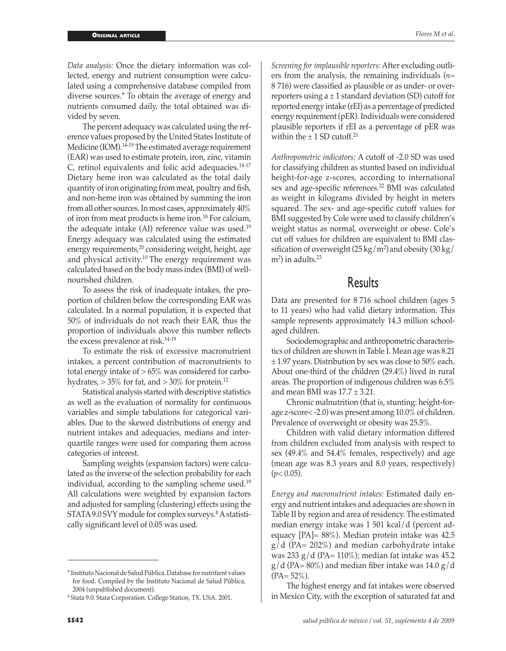*Data analysis:* Once the dietary information was collected, energy and nutrient consumption were calculated using a comprehensive database compiled from diverse sources.\* To obtain the average of energy and nutrients consumed daily, the total obtained was divided by seven.

The percent adequacy was calculated using the reference values proposed by the United States Institute of Medicine  $(IO\hat{M})$ .<sup>14-19</sup> The estimated average requirement (EAR) was used to estimate protein, iron, zinc, vitamin  $C<sub>r</sub>$  retinol equivalents and folic acid adequacies.<sup>14-17</sup> Dietary heme iron was calculated as the total daily quantity of iron originating from meat, poultry and fish, and non-heme iron was obtained by summing the iron from all other sources. In most cases, approximately 40% of iron from meat products is heme iron.18 For calcium, the adequate intake (AI) reference value was used.<sup>19</sup> Energy adequacy was calculated using the estimated energy requirements,<sup>20</sup> considering weight, height, age and physical activity.10 The energy requirement was calculated based on the body mass index (BMI) of wellnourished children.

To assess the risk of inadequate intakes, the proportion of children below the corresponding EAR was calculated. In a normal population, it is expected that 50% of individuals do not reach their EAR, thus the proportion of individuals above this number reflects the excess prevalence at risk.14-19

To estimate the risk of excessive macronutrient intakes, a percent contribution of macronutrients to total energy intake of  $> 65\%$  was considered for carbohydrates,  $> 35\%$  for fat, and  $> 30\%$  for protein.<sup>12</sup>

Statistical analysis started with descriptive statistics as well as the evaluation of normality for continuous variables and simple tabulations for categorical variables. Due to the skewed distributions of energy and nutrient intakes and adequacies, medians and interquartile ranges were used for comparing them across categories of interest.

Sampling weights (expansion factors) were calculated as the inverse of the selection probability for each individual, according to the sampling scheme used.<sup>19</sup> All calculations were weighted by expansion factors and adjusted for sampling (clustering) effects using the STATA 9.0 SVY module for complex surveys.‡ A statistically significant level of 0.05 was used.

*Screening for implausible reporters:* After excluding outliers from the analysis, the remaining individuals (*n*= 8 716) were classified as plausible or as under- or overreporters using  $a \pm 1$  standard deviation (SD) cutoff for reported energy intake (rEI) as a percentage of predicted energy requirement (pER). Individuals were considered plausible reporters if rEI as a percentage of pER was within the  $\pm$  1 SD cutoff.<sup>21</sup>

*Anthropometric indicators:* A cutoff of -2.0 SD was used for classifying children as stunted based on individual height-for-age z-scores, according to international sex and age-specific references.<sup>22</sup> BMI was calculated as weight in kilograms divided by height in meters squared. The sex- and age-specific cutoff values for BMI suggested by Cole were used to classify children's weight status as normal, overweight or obese. Cole's cut off values for children are equivalent to BMI classification of overweight  $(25 \text{ kg/m}^2)$  and obesity  $(30 \text{ kg/m}^2)$  $m<sup>2</sup>$ ) in adults.<sup>23</sup>

## Results

Data are presented for 8 716 school children (ages 5 to 11 years) who had valid dietary information. This sample represents approximately 14.3 million schoolaged children.

Sociodemographic and anthropometric characteristics of children are shown in Table I. Mean age was 8.21 ± 1.97 years. Distribution by sex was close to 50% each. About one-third of the children (29.4%) lived in rural areas. The proportion of indigenous children was 6.5% and mean BMI was  $17.7 \pm 3.21$ .

Chronic malnutrition (that is, stunting: height-forage z-score< -2.0) was present among 10.0% of children. Prevalence of overweight or obesity was 25.5%.

Children with valid dietary information differed from children excluded from analysis with respect to sex (49.4% and 54.4% females, respectively) and age (mean age was 8.3 years and 8.0 years, respectively)  $(p< 0.05)$ .

*Energy and macronutrient intakes:* Estimated daily energy and nutrient intakes and adequacies are shown in Table II by region and area of residency. The estimated median energy intake was 1 501 kcal/d (percent adequacy [PA]= 88%). Median protein intake was 42.5  $g/d$  (PA= 202%) and median carbohydrate intake was 233 g/d (PA= 110%); median fat intake was 45.2  $g/d$  (PA= 80%) and median fiber intake was 14.0 g/d  $(PA = 52\%)$ .

The highest energy and fat intakes were observed in Mexico City, with the exception of saturated fat and

<sup>\*</sup> Instituto Nacional de Salud Pública. Database for nutritient values for food. Compiled by the Instituto Nacional de Salud Pública, 2004 (unpublished document).

<sup>‡</sup> Stata 9.0. Stata Corporation. College Station, TX. USA. 2001.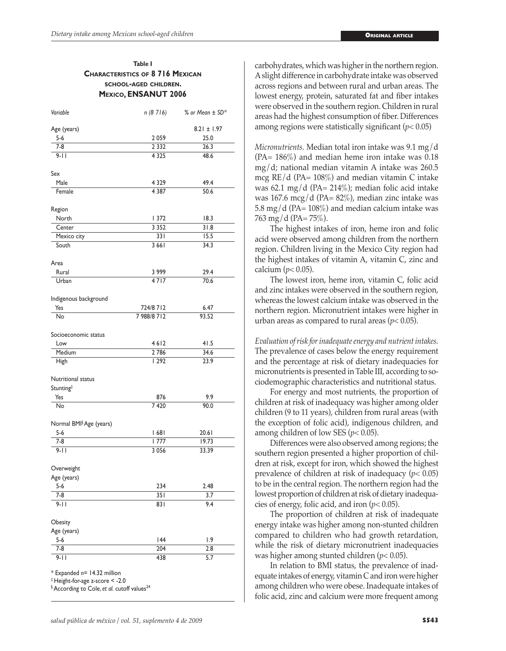#### **Table I Characteristics of 8 716 Mexican school-aged children. Mexico, ENSANUT 2006**

| Variable                                                                                                                                      | n (8 716)   | % or Mean ± SD* |
|-----------------------------------------------------------------------------------------------------------------------------------------------|-------------|-----------------|
| Age (years)                                                                                                                                   |             | $8.21 \pm 1.97$ |
| $5-6$                                                                                                                                         | 2 0 5 9     | 25.0            |
| $7-8$                                                                                                                                         | 2 3 3 2     | 26.3            |
| $9 - 11$                                                                                                                                      | 4 3 2 5     | 48.6            |
| Sex                                                                                                                                           |             |                 |
| Male                                                                                                                                          | 4 3 2 9     | 49.4            |
| Female                                                                                                                                        | 4 3 8 7     | 50.6            |
| Region                                                                                                                                        |             |                 |
| North                                                                                                                                         | 372         | 18.3            |
| Center                                                                                                                                        | 3 3 5 2     | 31.8            |
| Mexico city                                                                                                                                   | 331         | 15.5            |
| South                                                                                                                                         | 3 6 6 1     | 34.3            |
| Area                                                                                                                                          |             |                 |
| Rural                                                                                                                                         | 3999        | 29.4            |
| Urban                                                                                                                                         | 4717        | 70.6            |
| Indigenous background                                                                                                                         |             |                 |
| Yes                                                                                                                                           | 724/8 712   | 6.47            |
| No                                                                                                                                            | 7 988/8 712 | 93.52           |
| Socioeconomic status                                                                                                                          |             |                 |
| Low                                                                                                                                           | 4612        | 41.5            |
| Medium                                                                                                                                        | 2786        | 34.6            |
| High                                                                                                                                          | 1292        | 23.9            |
| Nutritional status                                                                                                                            |             |                 |
| Stunting <sup>‡</sup>                                                                                                                         |             |                 |
| Yes                                                                                                                                           | 876         | 9.9             |
| No                                                                                                                                            | 7420        | 90.0            |
| Normal BMI <sup>§</sup> Age (years)                                                                                                           |             |                 |
| $5 - 6$                                                                                                                                       | 68          | 20.61           |
| 7-8                                                                                                                                           | 1777        | 19.73           |
| $9 - 11$                                                                                                                                      | 3 0 5 6     | 33.39           |
| Overweight                                                                                                                                    |             |                 |
| Age (years)                                                                                                                                   |             |                 |
| 5-6                                                                                                                                           | 234         | 2.48            |
| 7-8                                                                                                                                           | 35 I        | 3.7             |
| $9 - 11$                                                                                                                                      | 831         | 9.4             |
| Obesity                                                                                                                                       |             |                 |
| Age (years)                                                                                                                                   |             |                 |
| $5 - 6$                                                                                                                                       | 144         | 1.9             |
| $7 - 8$                                                                                                                                       | 204         | 2.8             |
| $9 - 11$                                                                                                                                      | 438         | 5.7             |
| * Expanded n= 14.32 million<br>$\ddagger$ Height-for-age z-score < -2.0<br><sup>§</sup> According to Cole, et al. cutoff values <sup>24</sup> |             |                 |

carbohydrates, which was higher in the northern region. A slight difference in carbohydrate intake was observed across regions and between rural and urban areas. The lowest energy, protein, saturated fat and fiber intakes were observed in the southern region. Children in rural areas had the highest consumption of fiber. Differences among regions were statistically significant (*p*< 0.05)

*Micronutrients.* Median total iron intake was 9.1 mg/d (PA= 186%) and median heme iron intake was 0.18 mg/d; national median vitamin A intake was 260.5 mcg  $RE/d$  (PA= 108%) and median vitamin C intake was 62.1 mg/d (PA=  $214\%$ ); median folic acid intake was 167.6 mcg/d (PA= 82%), median zinc intake was 5.8 mg/d (PA=  $108\%$ ) and median calcium intake was 763 mg/d (PA=  $75\%$ ).

The highest intakes of iron, heme iron and folic acid were observed among children from the northern region. Children living in the Mexico City region had the highest intakes of vitamin A, vitamin C, zinc and calcium (*p*< 0.05).

The lowest iron, heme iron, vitamin C, folic acid and zinc intakes were observed in the southern region, whereas the lowest calcium intake was observed in the northern region. Micronutrient intakes were higher in urban areas as compared to rural areas (*p*< 0.05).

*Evaluation of risk for inadequate energy and nutrient intakes.* The prevalence of cases below the energy requirement and the percentage at risk of dietary inadequacies for micronutrients is presented in Table III, according to sociodemographic characteristics and nutritional status.

For energy and most nutrients, the proportion of children at risk of inadequacy was higher among older children (9 to 11 years), children from rural areas (with the exception of folic acid), indigenous children, and among children of low SES (*p*< 0.05).

Differences were also observed among regions; the southern region presented a higher proportion of children at risk, except for iron, which showed the highest prevalence of children at risk of inadequacy (*p*< 0.05) to be in the central region. The northern region had the lowest proportion of children at risk of dietary inadequacies of energy, folic acid, and iron (*p*< 0.05).

The proportion of children at risk of inadequate energy intake was higher among non-stunted children compared to children who had growth retardation, while the risk of dietary micronutrient inadequacies was higher among stunted children (*p*< 0.05).

In relation to BMI status, the prevalence of inadequate intakes of energy, vitamin C and iron were higher among children who were obese. Inadequate intakes of folic acid, zinc and calcium were more frequent among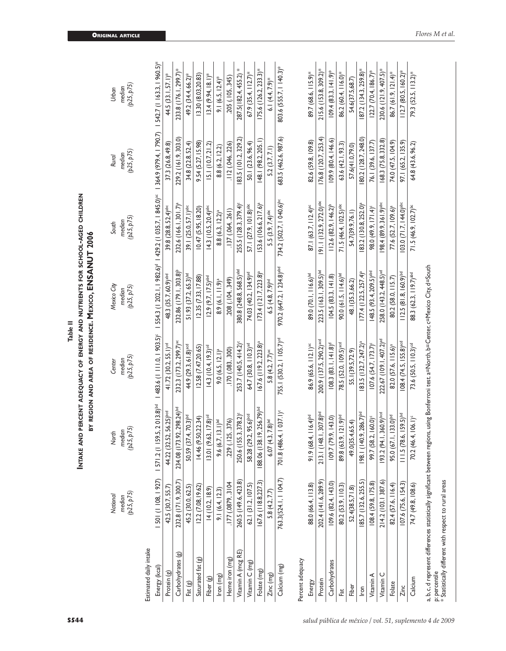|                                                                        |                        |                                                                                                                                              | Table II                              |                                                       |                                                                                |                        |                                     |
|------------------------------------------------------------------------|------------------------|----------------------------------------------------------------------------------------------------------------------------------------------|---------------------------------------|-------------------------------------------------------|--------------------------------------------------------------------------------|------------------------|-------------------------------------|
|                                                                        |                        | INTAKE AND PERCENT ADEQUACY OF ENERGY AND NUTRIENTS FOR SCHOOL-AGED CHILDREN                                                                 |                                       | BY REGION AND AREA OF RESIDENCE. MEXICO, ENSANUT 2006 |                                                                                |                        |                                     |
|                                                                        | National               | North                                                                                                                                        | Center                                | Mexico City                                           | South                                                                          | Rural                  | Urban                               |
|                                                                        | (p25, p75)<br>median   | (p25, p75)<br>median                                                                                                                         | (p25, p75)<br>median                  | (p25, p75)<br>median                                  | (p25, p75)<br>median                                                           | (p25, p75)<br>median   | (p25, p75)<br>median                |
| Estimated daily intake                                                 |                        |                                                                                                                                              |                                       |                                                       |                                                                                |                        |                                     |
| Energy (kcal)                                                          | 501 (1 108, 1 927)     | 59.5, 2013.8)bd<br>1571.2(1)                                                                                                                 | 483.6 (1 111.0, 1 903.5) <sup>c</sup> |                                                       | 554.3 (1 202.1, 1 982.6) <sup>d</sup> 1 429.2 (1 035.7, 1 845.0) <sup>ac</sup> | 364.9 (979.4,   790.7) | $1542.7(1163.3, 1960.5)^*$          |
| Protein (g)                                                            | 42.5 (30.7, 55.7)      | 44.22 (32.52, 56.25)bcd                                                                                                                      | 41.72 (30.2, 55.1) <sup>cd</sup>      | 48.3 (35.7, 60.9) abd                                 | 39.8 (28.8, 52.4)abc                                                           | 37.3 (26.8, 49.8)      | $(33.1, 57.1)^*$<br>44.5            |
| Carbohydrates (g)                                                      | 232.8 (171.9, 300.7)   | 234.08 (173.92, 298.24)bd                                                                                                                    | 232.3 (173.2, 299.7) <sup>ac</sup>    | 232.86 (179.1, 303.8) <sup>b</sup>                    | 232.6 (166.1, 301.7) <sup>a</sup>                                              | 229.2 (161.9, 303.0)   | 233.8 (176.1, 299.7)*               |
| Fat (g)                                                                | 45.2 (30.0, 62.5)      | 37.4, 70.3) <sup>bd</sup><br>50.59 (                                                                                                         | 44.9 (29.3, 61.8) <sup>acd</sup>      | 51.93 (37.2, 65.3) <sup>bd</sup>                      | 39.1 (25.0, 57.1) <sup>abc</sup>                                               | 34.8 (22.8, 52.4)      | 49.2 (34.4, 66.2)*                  |
| Saturated fat (g)                                                      | 12.2 (7.08, 19.62)     | 9.50, 22.34<br>14.46                                                                                                                         | 12.58(7.47, 20.65)                    | (2.35 (7.33, 17.88))                                  | 10.47(5.95, 18.20)                                                             | 9.54 (5.27, 15.98)     | 13.30 (8.03,20.83)                  |
| Fiber (g)                                                              | 14(10.2, 18.9)         | $9.63, 17.8$ <sup>od</sup><br>$ 3.01$ (                                                                                                      | 14.3 (10.4, 19.3) <sup>cd</sup>       | $(2.9 (9.7, 17.5)^{abcd}$                             | $14.3(10.5, 20.4)$ <sup>abc</sup>                                              | 5.1(10.7, 21.2)        | $13.4(9.94, 18.1)^*$                |
| Iron (mg)                                                              | 9.1(6.4, 12.3)         | 9.6 $(6.7, 13.1)$ <sup>bd</sup>                                                                                                              | $9.0(6.5, 12.1)^a$                    | $8.9(6.1, 11.9)^a$                                    | $8.8(6.3, 12.2)^a$                                                             | 8.8 (6.2, 12.2)        | $9.1(6.5, 12.4)$ *                  |
| Heme iron (mg)                                                         | .177(0879, 3104        | .125, .376)<br>229(                                                                                                                          | .170(.083,.300)                       | 208 (.104, .349)                                      | .137(064, 261)                                                                 | .112 (.046, .226)      | 205 (.105, .345)                    |
| Vitamin A (mcg RE)                                                     | 260.5 (149.6, 423.8)   | 250.6 (155.3, 378.2) <sup>c</sup>                                                                                                            | 253.7 (140.5, 414.2) <sup>c</sup>     | 380.8 (248.8, 568.5) <sup>abd</sup>                   | 255.5 (128.3, 379.4)                                                           | 83.5 (101.2, 329.2)    | ⋇<br>287.5(182.4, 455.2)            |
| Vitamin C (mg)                                                         | $62.1$ $(31.2, 107.5)$ | 58.28 (29.2, 95.6) <sup>bcd</sup>                                                                                                            | 64.7 (30.8, 110.3) <sup>ad</sup>      | 74.03 (40.2, 134.9) <sup>ad</sup>                     | 57.1 (27.9, 101.8) <sup>abc</sup>                                              | 50.1 (23.6, 96.4)      | $67.9$ $(35.4, 112.7)$ *            |
| Folate (mg)                                                            | 167.6 (118.8,227.3)    | 88.06 (138.19, 256.79)bd                                                                                                                     | $67.6$ (119.2, 223.8) <sup>a</sup>    | $173.4(121.7, 223.8)^a$                               | IS3.6 (106.6, 217.6) <sup>a</sup>                                              | 48.1 (98.2, 205.1)     | $175.6$ ( $126.2$ , $233.3$ )*      |
| Zinc (mg)                                                              | 5.8 (4.2, 7.7)         | $(4.3, 7.8)$ bd<br>6.07                                                                                                                      | 5.8 $(4.2, 7.7)$ <sup>ac</sup>        | $6.5(4.8, 7.9)^{bd}$                                  | $.5(3.9, 7.4)$ <sup>abc</sup>                                                  | 5.2(3.7, 7.1)          | $6.1(4.4, 7.9)$ *                   |
| Calcium (mg)                                                           | 763.3(524.1, 104.7)    | 701.8 (486.4, 1 037.1) <sup>c</sup>                                                                                                          | 755.1 (530.2, 1 105.7) <sup>cd</sup>  | 970.2 (647.2, 1 234.8) abd                            | 734.2 (502.7, 1 040.6) <sup>bc</sup>                                           | 683.5 (462.6, 987.6)   | 803.6 (555.7, 1 40.3)*              |
| Percent adequacy                                                       |                        |                                                                                                                                              |                                       |                                                       |                                                                                |                        |                                     |
| Energy                                                                 | 88.0 (66.4, 113.8)     | 91.9 (68.4, 116.4) <sup>bd</sup>                                                                                                             | 86.9 (65.6, 112.1) <sup>ac</sup>      | 89.0 (70.1, 116.6) <sup>bd</sup>                      | $87.1(63.7, 112.4)$ <sup>ac</sup>                                              | 82.6 (59.8, 109.8)     | 89.7 (68.6, 115.9)*                 |
| Protein                                                                | 202.4 (141.6, 289.9)   | 213.1 (148.1, 307.8)bd                                                                                                                       | 200.9 (137.5, 290.2) <sup>acd</sup>   | 223.5 (163.1, 309.5) <sup>bd</sup>                    | $91.1$ (132.9, 272.0) <sup>abc</sup>                                           | 176.8 (120.7, 253.4)   | 215.6 (153.8, 309.2)*               |
| Carbohydrates                                                          | 109.6 (82.4, 143.0)    | 79.9, 143.0)<br>109.7                                                                                                                        | $108.3(83.1, 141.8)$ <sup>d</sup>     | 104.5(83.3, 141.8)                                    | $112.6 (82.9, 146.2)^b$                                                        | 09.9 (80.4, 146.6)     | $141.9$ <sup>*</sup><br>09.4 (83.3, |
| Fat                                                                    | 80.2 (53.9, 110.3)     | 89.8 (63.9, 121.9) <sup>bd</sup>                                                                                                             | 78.5 (52.0, 109.5) <sup>acd</sup>     | 90.0 $(61.5, 114.6)$ <sup>bd</sup>                    | 71.5 (46.4, 102.5) <sup>abc</sup>                                              | 63.6 (42.1, 93.3)      | 86.2 (60.4, 116.0)*                 |
| Fiber                                                                  | 52.4(38.5,71.8)        | 49.0(35.4,65.4)                                                                                                                              | 55.1(39.5,72.9)                       | 48.1(35.3,66.2)                                       | 54.7(39.9,76.1)                                                                | 57.6(41.0,79.0)        | 54.6(37.5,68.7)                     |
| Iron                                                                   | 85.7 (132.6, 255.5)    | 198.1 (140.9, 286.7) <sup>bd</sup>                                                                                                           | 83.5 (132.7, 247.2) <sup>a</sup>      | $177.4(122.5, 257.4)^a$                               | 83.2 (130.8, 252.0) <sup>a</sup>                                               | 80.2 (128.7, 248.0)    | $ 87.2 $ (134.3, 259.8)*            |
| Vitamin A                                                              | 108.4 (59.8, 175.8)    | 99.7 (58.2, 160.0)                                                                                                                           | 107.6 (54.7, 173.7) <sup>c</sup>      | 148.5 (93.4, 209.5) <sup>abd</sup>                    | 98.0 (49.9, 171.4) <sup>c</sup>                                                | 76.1 (39.6, 137.7)     | $122.7$ (70.4, 186.7)*              |
| O<br>Vitamin                                                           | 214.2 (103.1 387.6)    | 193.2 (94.1, 360.9)bcd                                                                                                                       | 222.67 (109.1, 407.2) <sup>ad</sup>   | 258.0 (143.2, 448.5) <sup>ad</sup>                    | 98.4 (89.9, 361.9) <sup>abc</sup>                                              | 332.8<br>68.3 (75.8,   | 407.5)*<br>230.6 (121.9,            |
| Folate                                                                 | 82.4 (57.6, 116.4)     | 95.0 (67.1, 133.0) <sup>bd</sup>                                                                                                             | 82.0 (57.6, 115.6) <sup>a</sup>       | 80.2 (58.0, 115.7)                                    | 77.6 (52.7, 109.6) <sup>a</sup>                                                | 74.0 (47.5, 104.9)     | $86.7(61.9, 121.4)$ *               |
| Zinc                                                                   | 107.6 (75.6, 154.3)    | III.5 (78.6, 159.5) <sup>bd</sup>                                                                                                            | 08.4 (74.5, 155.8) <sup>acd</sup>     | $112.5(81.8, 160.9)$ <sup>bd</sup>                    | $103.0 (71.7, 144.0)^{abc}$                                                    | 97.1 (65.2, 135.9)     | $112.7$ (80.5, 160.2)*              |
| Calcium                                                                | 74.7 (49.8, 108.6)     | 70.2 (46.4, 106.1) <sup>c</sup>                                                                                                              | 73.6 (50.5, 110.3) <sup>od</sup>      | 88.3 (62.3, 119.7) <sup>abd</sup>                     | 71.5 (46.9, 102.7) <sup>bc</sup>                                               | 64.8 (43.6, 96.2)      | 79.3 (52.5, 113.2)*                 |
|                                                                        |                        | a, b, c, d represent differences statistically significant between regions, using Bonferroni test. a=North, b=Center, c=Mexico City, d=South |                                       |                                                       |                                                                                |                        |                                     |
| p: percentile<br>* Statistically different with respect to rural areas |                        |                                                                                                                                              |                                       |                                                       |                                                                                |                        |                                     |
|                                                                        |                        |                                                                                                                                              |                                       |                                                       |                                                                                |                        |                                     |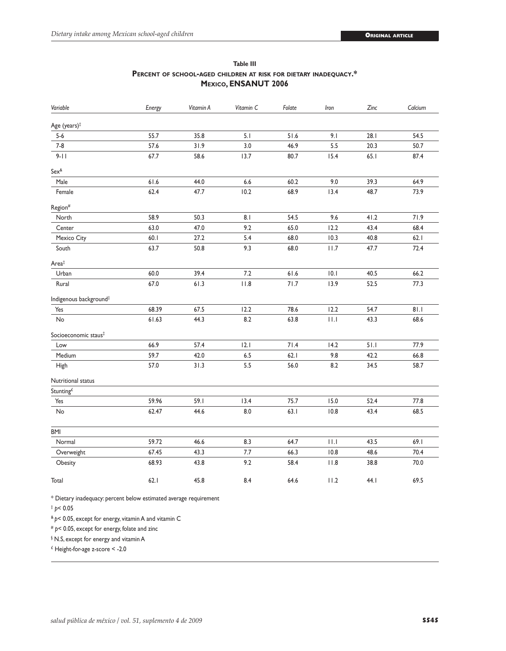| Variable                           | Energy | Vitamin A | Vitamin C | Folate | Iron | Zinc | Calcium |
|------------------------------------|--------|-----------|-----------|--------|------|------|---------|
| Age (years) <sup>#</sup>           |        |           |           |        |      |      |         |
| $5-6$                              | 55.7   | 35.8      | 5.1       | 51.6   | 9.1  | 28.1 | 54.5    |
| $7 - 8$                            | 57.6   | 31.9      | 3.0       | 46.9   | 5.5  | 20.3 | 50.7    |
| $9 - 11$                           | 67.7   | 58.6      | 13.7      | 80.7   | 15.4 | 65.1 | 87.4    |
| $Sex^{\&}$                         |        |           |           |        |      |      |         |
| Male                               | 61.6   | 44.0      | 6.6       | 60.2   | 9.0  | 39.3 | 64.9    |
| Female                             | 62.4   | 47.7      | 10.2      | 68.9   | 13.4 | 48.7 | 73.9    |
| Region <sup>#</sup>                |        |           |           |        |      |      |         |
| North                              | 58.9   | 50.3      | 8.1       | 54.5   | 9.6  | 41.2 | 71.9    |
| Center                             | 63.0   | 47.0      | 9.2       | 65.0   | 12.2 | 43.4 | 68.4    |
| Mexico City                        | 60.1   | 27.2      | 5.4       | 68.0   | 10.3 | 40.8 | 62.1    |
| South                              | 63.7   | 50.8      | 9.3       | 68.0   | 11.7 | 47.7 | 72.4    |
| Area <sup>‡</sup>                  |        |           |           |        |      |      |         |
| Urban                              | 60.0   | 39.4      | 7.2       | 61.6   | 10.1 | 40.5 | 66.2    |
| Rural                              | 67.0   | 61.3      | 11.8      | 71.7   | 13.9 | 52.5 | 77.3    |
| Indigenous background <sup>#</sup> |        |           |           |        |      |      |         |
| Yes                                | 68.39  | 67.5      | 12.2      | 78.6   | 12.2 | 54.7 | 81.1    |
| No                                 | 61.63  | 44.3      | 8.2       | 63.8   | 11.1 | 43.3 | 68.6    |
| Socioeconomic staus <sup>‡</sup>   |        |           |           |        |      |      |         |
| Low                                | 66.9   | 57.4      | 2.1       | 71.4   | 14.2 | 51.1 | 77.9    |
| Medium                             | 59.7   | 42.0      | $6.5\,$   | 62.1   | 9.8  | 42.2 | 66.8    |
| High                               | 57.0   | 31.3      | 5.5       | 56.0   | 8.2  | 34.5 | 58.7    |
| Nutritional status                 |        |           |           |        |      |      |         |
| Stunting <sup>£</sup>              |        |           |           |        |      |      |         |
| Yes                                | 59.96  | 59.1      | 13.4      | 75.7   | 15.0 | 52.4 | 77.8    |
| $\mathsf{No}$                      | 62.47  | 44.6      | $8.0\,$   | 63.1   | 10.8 | 43.4 | 68.5    |
| <b>BMI</b>                         |        |           |           |        |      |      |         |
| Normal                             | 59.72  | 46.6      | 8.3       | 64.7   | 11.1 | 43.5 | 69.1    |
| Overweight                         | 67.45  | 43.3      | 7.7       | 66.3   | 10.8 | 48.6 | 70.4    |
| Obesity                            | 68.93  | 43.8      | 9.2       | 58.4   | 11.8 | 38.8 | 70.0    |
| Total                              | 62.1   | 45.8      | 8.4       | 64.6   | 11.2 | 44.I | 69.5    |

#### **Table III Percent of school-aged children at risk for dietary inadequacy.\* Mexico, ENSANUT 2006**

\* Dietary inadequacy: percent below estimated average requirement

‡  *p*< 0.05

& *p*< 0.05, except for energy, vitamin A and vitamin C

# *p*< 0.05, except for energy, folate and zinc

§ N.S, except for energy and vitamin A

 ${}^{\text{f}}$  Height-for-age z-score < -2.0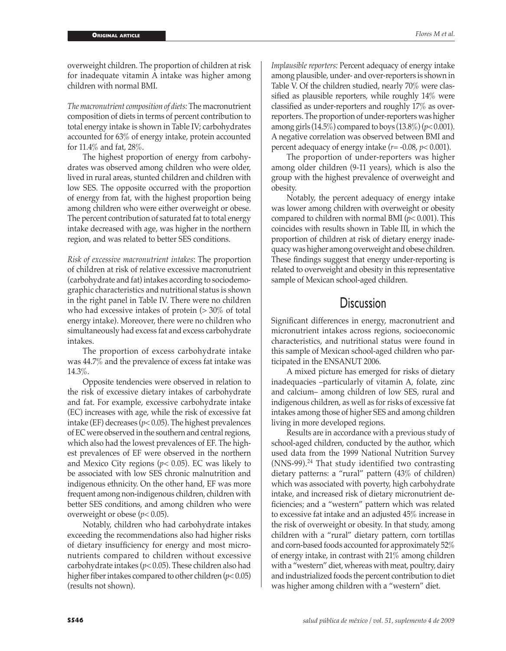overweight children. The proportion of children at risk for inadequate vitamin A intake was higher among children with normal BMI.

*The macronutrient composition of diets:* The macronutrient composition of diets in terms of percent contribution to total energy intake is shown in Table IV; carbohydrates accounted for 63% of energy intake, protein accounted for 11.4% and fat, 28%.

The highest proportion of energy from carbohydrates was observed among children who were older, lived in rural areas, stunted children and children with low SES. The opposite occurred with the proportion of energy from fat, with the highest proportion being among children who were either overweight or obese. The percent contribution of saturated fat to total energy intake decreased with age, was higher in the northern region, and was related to better SES conditions.

*Risk of excessive macronutrient intakes*: The proportion of children at risk of relative excessive macronutrient (carbohydrate and fat) intakes according to sociodemographic characteristics and nutritional status is shown in the right panel in Table IV. There were no children who had excessive intakes of protein  $(>30\%$  of total energy intake). Moreover, there were no children who simultaneously had excess fat and excess carbohydrate intakes.

The proportion of excess carbohydrate intake was 44.7% and the prevalence of excess fat intake was 14.3%.

Opposite tendencies were observed in relation to the risk of excessive dietary intakes of carbohydrate and fat. For example, excessive carbohydrate intake (EC) increases with age, while the risk of excessive fat intake (EF) decreases ( $p$ < 0.05). The highest prevalences of EC were observed in the southern and central regions, which also had the lowest prevalences of EF. The highest prevalences of EF were observed in the northern and Mexico City regions (*p<* 0.05). EC was likely to be associated with low SES chronic malnutrition and indigenous ethnicity. On the other hand, EF was more frequent among non-indigenous children, children with better SES conditions, and among children who were overweight or obese (*p*< 0.05).

Notably, children who had carbohydrate intakes exceeding the recommendations also had higher risks of dietary insufficiency for energy and most micronutrients compared to children without excessive carbohydrate intakes (*p*< 0.05). These children also had higher fiber intakes compared to other children (*p*< 0.05) (results not shown).

*Implausible reporters:* Percent adequacy of energy intake among plausible, under- and over-reporters is shown in Table V. Of the children studied, nearly 70% were classified as plausible reporters, while roughly 14% were classified as under-reporters and roughly 17% as overreporters. The proportion of under-reporters was higher among girls (14.5%) compared to boys (13.8%) (*p*< 0.001). A negative correlation was observed between BMI and percent adequacy of energy intake (*r*= -0.08, *p*< 0.001).

The proportion of under-reporters was higher among older children (9-11 years), which is also the group with the highest prevalence of overweight and obesity.

Notably, the percent adequacy of energy intake was lower among children with overweight or obesity compared to children with normal BMI (*p*< 0.001). This coincides with results shown in Table III, in which the proportion of children at risk of dietary energy inadequacy was higher among overweight and obese children. These findings suggest that energy under-reporting is related to overweight and obesity in this representative sample of Mexican school-aged children.

### **Discussion**

Significant differences in energy, macronutrient and micronutrient intakes across regions, socioeconomic characteristics, and nutritional status were found in this sample of Mexican school-aged children who participated in the ENSANUT 2006.

A mixed picture has emerged for risks of dietary inadequacies –particularly of vitamin A, folate, zinc and calcium– among children of low SES, rural and indigenous children, as well as for risks of excessive fat intakes among those of higher SES and among children living in more developed regions.

Results are in accordance with a previous study of school-aged children, conducted by the author, which used data from the 1999 National Nutrition Survey  $(NNS-99).<sup>24</sup>$  That study identified two contrasting dietary patterns: a "rural" pattern (43% of children) which was associated with poverty, high carbohydrate intake, and increased risk of dietary micronutrient deficiencies; and a "western" pattern which was related to excessive fat intake and an adjusted 45% increase in the risk of overweight or obesity. In that study, among children with a "rural" dietary pattern, corn tortillas and corn-based foods accounted for approximately 52% of energy intake, in contrast with 21% among children with a "western" diet, whereas with meat, poultry, dairy and industrialized foods the percent contribution to diet was higher among children with a "western" diet.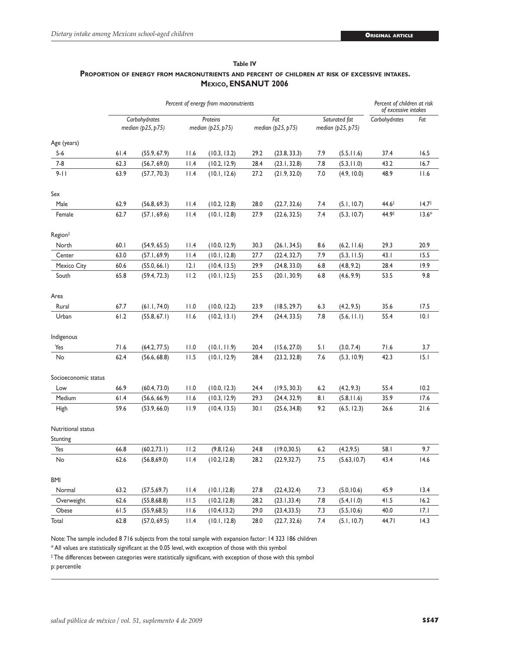| Table IV                                                                                              |  |  |  |  |  |  |  |
|-------------------------------------------------------------------------------------------------------|--|--|--|--|--|--|--|
| <b>PROPORTION OF ENERGY FROM MACRONUTRIENTS AND PERCENT OF CHILDREN AT RISK OF EXCESSIVE INTAKES.</b> |  |  |  |  |  |  |  |
| <b>MEXICO, ENSANUT 2006</b>                                                                           |  |  |  |  |  |  |  |

|                      | Percent of energy from macronutrients |                                    |      |                               |      |                          | Percent of children at risk<br>of excessive intakes |                                    |                   |                   |
|----------------------|---------------------------------------|------------------------------------|------|-------------------------------|------|--------------------------|-----------------------------------------------------|------------------------------------|-------------------|-------------------|
|                      |                                       | Carbohydrates<br>median (p25, p75) |      | Proteins<br>median (p25, p75) |      | Fat<br>median (p25, p75) |                                                     | Saturated fat<br>median (p25, p75) | Carbohydrates     | Fat               |
| Age (years)          |                                       |                                    |      |                               |      |                          |                                                     |                                    |                   |                   |
| $5 - 6$              | 61.4                                  | (55.9, 67.9)                       | 11.6 | (10.3, 13.2)                  | 29.2 | (23.8, 33.3)             | 7.9                                                 | (5.5, 11.6)                        | 37.4              | 16.5              |
| $7 - 8$              | 62.3                                  | (56.7, 69.0)                       | 11.4 | (10.2, 12.9)                  | 28.4 | (23.1, 32.8)             | 7.8                                                 | (5.3, 11.0)                        | 43.2              | 16.7              |
| $9 - 11$             | 63.9                                  | (57.7, 70.3)                       | 11.4 | (10.1, 12.6)                  | 27.2 | (21.9, 32.0)             | 7.0                                                 | (4.9, 10.0)                        | 48.9              | 11.6              |
| Sex                  |                                       |                                    |      |                               |      |                          |                                                     |                                    |                   |                   |
| Male                 | 62.9                                  | (56.8, 69.3)                       | 11.4 | (10.2, 12.8)                  | 28.0 | (22.7, 32.6)             | 7.4                                                 | (5.1, 10.7)                        | $44.6^{\ddagger}$ | $14.7^{\ddagger}$ |
| Female               | 62.7                                  | (57.1, 69.6)                       | 11.4 | (10.1, 12.8)                  | 27.9 | (22.6, 32.5)             | 7.4                                                 | (5.3, 10.7)                        | 44.9‡             | $13.6*$           |
| Region <sup>‡</sup>  |                                       |                                    |      |                               |      |                          |                                                     |                                    |                   |                   |
| North                | 60.1                                  | (54.9, 65.5)                       | 11.4 | (10.0, 12.9)                  | 30.3 | (26.1, 34.5)             | 8.6                                                 | (6.2, 11.6)                        | 29.3              | 20.9              |
| Center               | 63.0                                  | (57.1, 69.9)                       | 11.4 | (10.1, 12.8)                  | 27.7 | (22.4, 32.7)             | 7.9                                                 | (5.3, 11.5)                        | 43.1              | 15.5              |
| Mexico City          | 60.6                                  | (55.0, 66.1)                       | 2.1  | (10.4, 13.5)                  | 29.9 | (24.8, 33.0)             | 6.8                                                 | (4.8, 9.2)                         | 28.4              | 19.9              |
| South                | 65.8                                  | (59.4, 72.3)                       | 11.2 | (10.1, 12.5)                  | 25.5 | (20.1, 30.9)             | 6.8                                                 | (4.6, 9.9)                         | 53.5              | 9.8               |
| Area                 |                                       |                                    |      |                               |      |                          |                                                     |                                    |                   |                   |
| Rural                | 67.7                                  | (61.1, 74.0)                       | 11.0 | (10.0, 12.2)                  | 23.9 | (18.5, 29.7)             | 6.3                                                 | (4.2, 9.5)                         | 35.6              | 17.5              |
| Urban                | 61.2                                  | (55.8, 67.1)                       | 11.6 | (10.2, 13.1)                  | 29.4 | (24.4, 33.5)             | 7.8                                                 | (5.6, 11.1)                        | 55.4              | 10.1              |
| Indigenous           |                                       |                                    |      |                               |      |                          |                                                     |                                    |                   |                   |
| Yes                  | 71.6                                  | (64.2, 77.5)                       | 11.0 | (10.1, 11.9)                  | 20.4 | (15.6, 27.0)             | 5.1                                                 | (3.0, 7.4)                         | 71.6              | 3.7               |
| No                   | 62.4                                  | (56.6, 68.8)                       | 11.5 | (10.1, 12.9)                  | 28.4 | (23.2, 32.8)             | 7.6                                                 | (5.3, 10.9)                        | 42.3              | 15.1              |
| Socioeconomic status |                                       |                                    |      |                               |      |                          |                                                     |                                    |                   |                   |
| Low                  | 66.9                                  | (60.4, 73.0)                       | 11.0 | (10.0, 12.3)                  | 24.4 | (19.5, 30.3)             | 6.2                                                 | (4.2, 9.3)                         | 55.4              | 10.2              |
| Medium               | 61.4                                  | (56.6, 66.9)                       | 11.6 | (10.3, 12.9)                  | 29.3 | (24.4, 32.9)             | 8.1                                                 | (5.8, 11.6)                        | 35.9              | 17.6              |
| High                 | 59.6                                  | (53.9, 66.0)                       | 11.9 | (10.4, 13.5)                  | 30.1 | (25.6, 34.8)             | 9.2                                                 | (6.5, 12.3)                        | 26.6              | 21.6              |
| Nutritional status   |                                       |                                    |      |                               |      |                          |                                                     |                                    |                   |                   |
| Stunting             |                                       |                                    |      |                               |      |                          |                                                     |                                    |                   |                   |
| Yes                  | 66.8                                  | (60.2, 73.1)                       | 11.2 | (9.8, 12.6)                   | 24.8 | (19.0, 30.5)             | 6.2                                                 | (4.2, 9.5)                         | 58.I              | 9.7               |
| No                   | 62.6                                  | (56.8, 69.0)                       | 11.4 | (10.2, 12.8)                  | 28.2 | (22.9, 32.7)             | 7.5                                                 | (5.63, 10.7)                       | 43.4              | 14.6              |
| <b>BMI</b>           |                                       |                                    |      |                               |      |                          |                                                     |                                    |                   |                   |
| Normal               | 63.2                                  | (57.5, 69.7)                       | 11.4 | (10.1, 12.8)                  | 27.8 | (22.4, 32.4)             | 7.3                                                 | (5.0, 10.6)                        | 45.9              | 13.4              |
| Overweight           | 62.6                                  | (55.8, 68.8)                       | 11.5 | (10.2, 12.8)                  | 28.2 | (23.1, 33.4)             | 7.8                                                 | (5.4, 11.0)                        | 41.5              | 16.2              |
| Obese                | 61.5                                  | (55.9, 68.5)                       | 11.6 | (10.4, 13.2)                  | 29.0 | (23.4, 33.5)             | 7.3                                                 | (5.5, 10.6)                        | 40.0              | 17.1              |
| Total                | 62.8                                  | (57.0, 69.5)                       | 11.4 | (10.1, 12.8)                  | 28.0 | (22.7, 32.6)             | 7.4                                                 | (5.1, 10.7)                        | 44.71             | 14.3              |

Note: The sample included 8 716 subjects from the total sample with expansion factor: 14 323 186 children

\* All values are statistically significant at the 0.05 level, with exception of those with this symbol

‡ The differences between categories were statistically significant, with exception of those with this symbol

p: percentile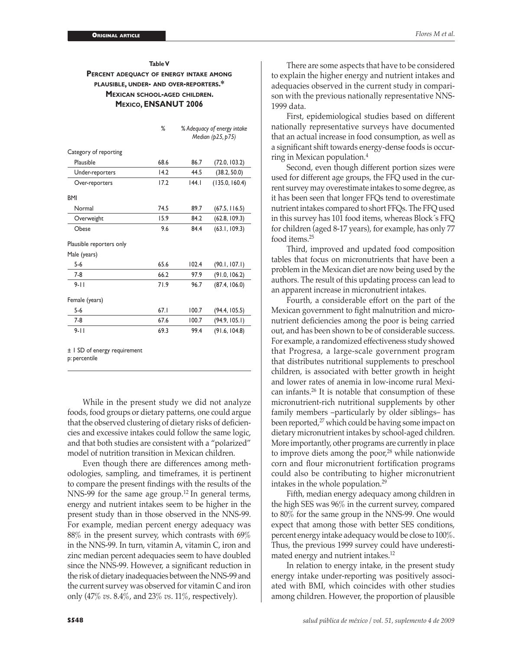#### **Table V Percent adequacy of energy intake among plausible, under- and over-reporters.\* Mexican school-aged children. Mexico, ENSANUT 2006**

|                          | %    | % Adequacy of energy intake<br>Median (p25, p75) |                |  |
|--------------------------|------|--------------------------------------------------|----------------|--|
| Category of reporting    |      |                                                  |                |  |
| Plausible                | 68.6 | 86.7                                             | (72.0, 103.2)  |  |
| Under-reporters          | 14.2 | 44.5                                             | (38.2, 50.0)   |  |
| Over-reporters           | 17.2 | 144.1                                            | (135.0, 160.4) |  |
| <b>BMI</b>               |      |                                                  |                |  |
| Normal                   | 74.5 | 89.7                                             | (67.5, 116.5)  |  |
| Overweight               | 15.9 | 84.2                                             | (62.8, 109.3)  |  |
| Obese                    | 9.6  | 84.4                                             | (63.1, 109.3)  |  |
| Plausible reporters only |      |                                                  |                |  |
| Male (years)             |      |                                                  |                |  |
| $5-6$                    | 65.6 | 102.4                                            | (90.1, 107.1)  |  |
| $7-8$                    | 66.2 | 97.9                                             | (91.0, 106.2)  |  |
| $9 - 11$                 | 71.9 | 96.7                                             | (87.4, 106.0)  |  |
| Female (years)           |      |                                                  |                |  |
| $5-6$                    | 67.1 | 100.7                                            | (94.4, 105.5)  |  |
| $7-8$                    | 67.6 | 100.7                                            | (94.9, 105.1)  |  |
| $9 - 11$                 | 69.3 | 99.4                                             | (91.6, 104.8)  |  |

± 1 SD of energy requirement p: percentile

While in the present study we did not analyze foods, food groups or dietary patterns, one could argue that the observed clustering of dietary risks of deficiencies and excessive intakes could follow the same logic, and that both studies are consistent with a "polarized" model of nutrition transition in Mexican children.

Even though there are differences among methodologies, sampling, and timeframes, it is pertinent to compare the present findings with the results of the NNS-99 for the same age group.<sup>12</sup> In general terms, energy and nutrient intakes seem to be higher in the present study than in those observed in the NNS-99. For example, median percent energy adequacy was 88% in the present survey, which contrasts with 69% in the NNS-99. In turn, vitamin A, vitamin C, iron and zinc median percent adequacies seem to have doubled since the NNS-99. However, a significant reduction in the risk of dietary inadequacies between the NNS-99 and the current survey was observed for vitamin C and iron only (47% *vs*. 8.4%, and 23% *vs*. 11%, respectively).

There are some aspects that have to be considered to explain the higher energy and nutrient intakes and adequacies observed in the current study in comparison with the previous nationally representative NNS-1999 data.

First, epidemiological studies based on different nationally representative surveys have documented that an actual increase in food consumption, as well as a significant shift towards energy-dense foods is occurring in Mexican population.<sup>4</sup>

Second, even though different portion sizes were used for different age groups, the FFQ used in the current survey may overestimate intakes to some degree, as it has been seen that longer FFQs tend to overestimate nutrient intakes compared to short FFQs. The FFQ used in this survey has 101 food items, whereas Block´s FFQ for children (aged 8-17 years), for example, has only 77 food items.25

Third, improved and updated food composition tables that focus on micronutrients that have been a problem in the Mexican diet are now being used by the authors. The result of this updating process can lead to an apparent increase in micronutrient intakes.

Fourth, a considerable effort on the part of the Mexican government to fight malnutrition and micronutrient deficiencies among the poor is being carried out, and has been shown to be of considerable success. For example, a randomized effectiveness study showed that Progresa, a large-scale government program that distributes nutritional supplements to preschool children, is associated with better growth in height and lower rates of anemia in low-income rural Mexican infants.26 It is notable that consumption of these micronutrient-rich nutritional supplements by other family members –particularly by older siblings– has been reported,<sup>27</sup> which could be having some impact on dietary micronutrient intakes by school-aged children. More importantly, other programs are currently in place to improve diets among the poor, $28$  while nationwide corn and flour micronutrient fortification programs could also be contributing to higher micronutrient intakes in the whole population.<sup>29</sup>

Fifth, median energy adequacy among children in the high SES was 96% in the current survey, compared to 80% for the same group in the NNS-99. One would expect that among those with better SES conditions, percent energy intake adequacy would be close to 100%. Thus, the previous 1999 survey could have underestimated energy and nutrient intakes.<sup>12</sup>

In relation to energy intake, in the present study energy intake under-reporting was positively associated with BMI, which coincides with other studies among children. However, the proportion of plausible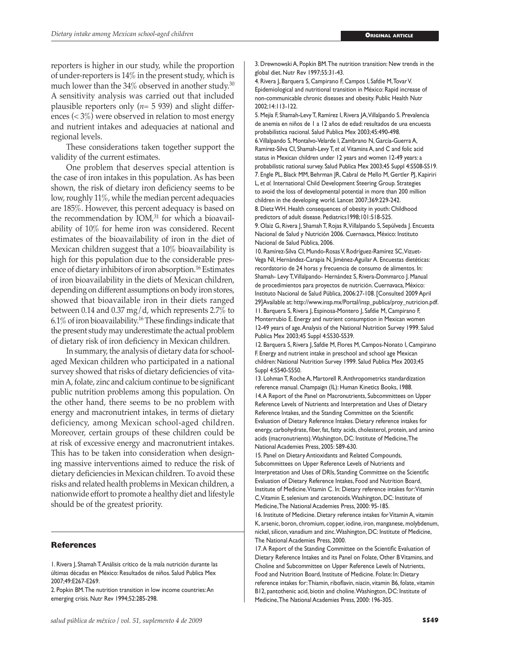reporters is higher in our study, while the proportion of under-reporters is 14% in the present study, which is much lower than the  $34\%$  observed in another study.<sup>30</sup> A sensitivity analysis was carried out that included plausible reporters only  $(n=5 939)$  and slight differences ( $\lt 3\%$ ) were observed in relation to most energy and nutrient intakes and adequacies at national and regional levels.

These considerations taken together support the validity of the current estimates.

One problem that deserves special attention is the case of iron intakes in this population. As has been shown, the risk of dietary iron deficiency seems to be low, roughly 11%, while the median percent adequacies are 185%. However, this percent adequacy is based on the recommendation by  $IOM<sub>1</sub><sup>31</sup>$  for which a bioavailability of 10% for heme iron was considered. Recent estimates of the bioavailability of iron in the diet of Mexican children suggest that a 10% bioavailability is high for this population due to the considerable presence of dietary inhibitors of iron absorption.<sup>16</sup> Estimates of iron bioavailability in the diets of Mexican children, depending on different assumptions on body iron stores, showed that bioavailable iron in their diets ranged between 0.14 and 0.37 mg/d, which represents 2.7% to 6.1% of iron bioavailability.16 These findings indicate that the present study may underestimate the actual problem of dietary risk of iron deficiency in Mexican children.

In summary, the analysis of dietary data for schoolaged Mexican children who participated in a national survey showed that risks of dietary deficiencies of vitamin A, folate, zinc and calcium continue to be significant public nutrition problems among this population. On the other hand, there seems to be no problem with energy and macronutrient intakes, in terms of dietary deficiency, among Mexican school-aged children. Moreover, certain groups of these children could be at risk of excessive energy and macronutrient intakes. This has to be taken into consideration when designing massive interventions aimed to reduce the risk of dietary deficiencies in Mexican children. To avoid these risks and related health problems in Mexican children, a nationwide effort to promote a healthy diet and lifestyle should be of the greatest priority.

#### **References**

3. Drewnowski A, Popkin BM. The nutrition transition: New trends in the global diet. Nutr Rev 1997;55:31-43.

4. Rivera J, Barquera S, Campirano F, Campos I, Safdie M, Tovar V. Epidemiological and nutritional transition in México: Rapid increase of non-communicable chronic diseases and obesity. Public Health Nutr 2002;14:113-122.

5. Mejía F, Shamah-Levy T, Ramírez I, Rivera JA, Villalpando S. Prevalencia de anemia en niños de 1 a 12 años de edad: resultados de una encuesta probabilística nacional. Salud Publica Mex 2003;45:490-498. 6. Villalpando S, Montalvo-Velarde I, Zambrano N, García-Guerra A, Ramírez-Silva CI, Shamah-Levy T, *et al.* Vitamins A, and C and folic acid status in Mexican children under 12 years and women 12-49 years: a probabilistic national survey. Salud Publica Mex 2003;45 Suppl 4:S508-S519. 7. Engle PL, Black MM, Behrman JR, Cabral de Mello M, Gertler PJ, Kapiriri L, *et al.* International Child Development Steering Group. Strategies to avoid the loss of developmental potential in more than 200 million children in the developing world. Lancet 2007;369:229-242. 8. Dietz WH. Health consequences of obesity in youth: Childhood predictors of adult disease. Pediatrics1998;101:518-525.

9. Olaiz G, Rivera J, Shamah T, Rojas R, Villalpando S, Sepúlveda J. Encuesta Nacional de Salud y Nutrición 2006. Cuernavaca, México: Instituto Nacional de Salud Pública, 2006.

10. Ramírez-Silva CI, Mundo-Rosas V, Rodríguez-Ramírez SC, Vizuet-Vega NI, Hernández-Carapia N, Jiménez-Aguilar A. Encuestas dietéticas: recordatorio de 24 horas y frecuencia de consumo de alimentos. In: Shamah- Levy T, Villalpando- Hernández S, Rivera-Dommarco J. Manual de procedimientos para proyectos de nutrición. Cuernavaca, México: Instituto Nacional de Salud Pública, 2006:27-108. [Consulted 2009 April 29]Available at: http://www.insp.mx/Portal/insp\_publica/proy\_nutricion.pdf. 11. Barquera S, Rivera J, Espinosa-Montero J, Safdie M, Campirano F, Monterrubio E. Energy and nutrient consumption in Mexican women 12-49 years of age. Analysis of the National Nutrition Survey 1999. Salud Publica Mex 2003;45 Suppl 4:S530-S539.

12. Barquera S, Rivera J, Safdie M, Flores M, Campos-Nonato I, Campirano F. Energy and nutrient intake in preschool and school age Mexican children: National Nutrition Survey 1999. Salud Publica Mex 2003;45 Suppl 4:S540-S550.

13. Lohman T, Roche A, Martorell R. Anthropometrics standardization reference manual. Champaign (IL): Human Kinetics Books, 1988. 14. A Report of the Panel on Macronutrients, Subcommittees on Upper Reference Levels of Nutrients and Interpretation and Uses of Dietary Reference Intakes, and the Standing Committee on the Scientific Evaluation of Dietary Reference Intakes. Dietary reference intakes for energy, carbohydrate, fiber, fat, fatty acids, cholesterol, protein, and amino acids (macronutrients). Washington, DC: Institute of Medicine, The National Academies Press, 2005: 589-630.

15. Panel on Dietary Antioxidants and Related Compounds, Subcommittees on Upper Reference Levels of Nutrients and Interpretation and Uses of DRIs, Standing Committee on the Scientific Evaluation of Dietary Reference Intakes, Food and Nutrition Board, Institute of Medicine. Vitamin C. In: Dietary reference intakes for: Vitamin C, Vitamin E, selenium and carotenoids. Washington, DC: Institute of Medicine, The National Academies Press, 2000: 95-185.

16. Institute of Medicine. Dietary reference intakes for Vitamin A, vitamin K, arsenic, boron, chromium, copper, iodine, iron, manganese, molybdenum, nickel, silicon, vanadium and zinc. Washington, DC: Institute of Medicine, The National Academies Press, 2000.

17. A Report of the Standing Committee on the Scientific Evaluation of Dietary Reference Intakes and its Panel on Folate, Other B Vitamins, and Choline and Subcommittee on Upper Reference Levels of Nutrients, Food and Nutrition Board, Institute of Medicine. Folate: In: Dietary reference intakes for: Thiamin, riboflavin, niacin, vitamin B6, folate, vitamin B12, pantothenic acid, biotin and choline. Washington, DC: Institute of Medicine, The National Academies Press, 2000: 196-305.

<sup>1.</sup> Rivera J, Shamah T. Análisis crítico de la mala nutrición durante las últimas décadas en México: Resultados de niños. Salud Publica Mex 2007;49:E267-E269.

<sup>2.</sup> Popkin BM. The nutrition transition in low income countries: An emerging crisis. Nutr Rev 1994;52:285-298.